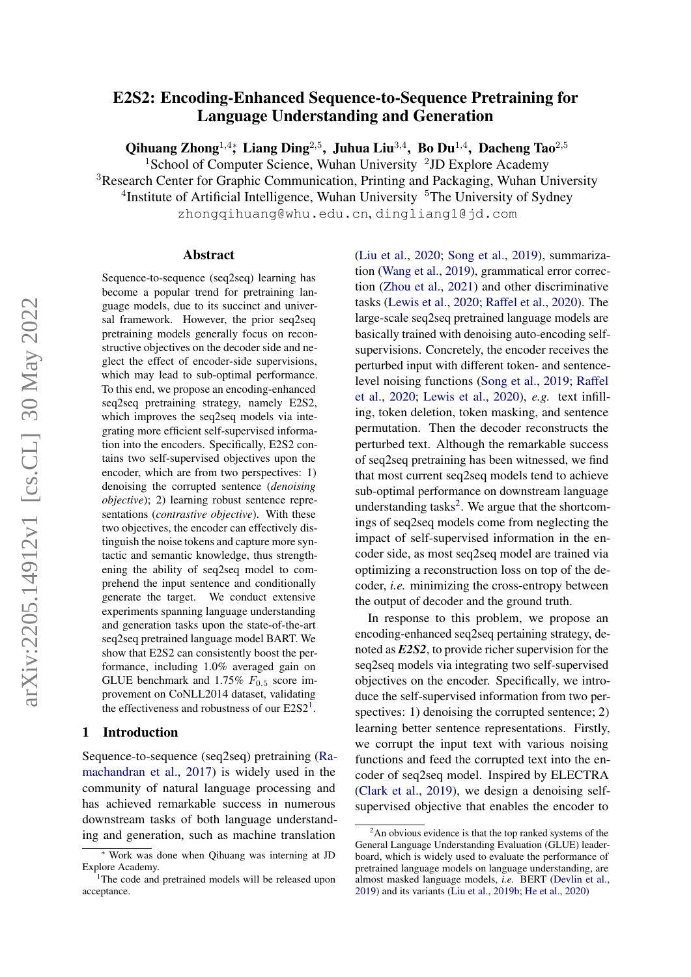# E2S2: Encoding-Enhanced Sequence-to-Sequence Pretraining for Language Understanding and Generation

Qihuang Zhong<sup>1,4</sup>\*, Liang Ding<sup>2,5</sup>, Juhua Liu<sup>3,4</sup>, Bo Du<sup>1,4</sup>, Dacheng Tao<sup>2,5</sup>

<sup>1</sup>School of Computer Science, Wuhan University <sup>2</sup>JD Explore Academy

<sup>3</sup>Research Center for Graphic Communication, Printing and Packaging, Wuhan University

<sup>4</sup>Institute of Artificial Intelligence, Wuhan University <sup>5</sup>The University of Sydney

zhongqihuang@whu.edu.cn, dingliang1@jd.com

#### Abstract

Sequence-to-sequence (seq2seq) learning has become a popular trend for pretraining language models, due to its succinct and universal framework. However, the prior seq2seq pretraining models generally focus on reconstructive objectives on the decoder side and neglect the effect of encoder-side supervisions, which may lead to sub-optimal performance. To this end, we propose an encoding-enhanced seq2seq pretraining strategy, namely E2S2, which improves the seq2seq models via integrating more efficient self-supervised information into the encoders. Specifically, E2S2 contains two self-supervised objectives upon the encoder, which are from two perspectives: 1) denoising the corrupted sentence (*denoising objective*); 2) learning robust sentence representations (*contrastive objective*). With these two objectives, the encoder can effectively distinguish the noise tokens and capture more syntactic and semantic knowledge, thus strengthening the ability of seq2seq model to comprehend the input sentence and conditionally generate the target. We conduct extensive experiments spanning language understanding and generation tasks upon the state-of-the-art seq2seq pretrained language model BART. We show that E2S2 can consistently boost the performance, including 1.0% averaged gain on GLUE benchmark and  $1.75\%$   $F_{0.5}$  score improvement on CoNLL2014 dataset, validating the effectiveness and robustness of our  $E2S2<sup>1</sup>$  $E2S2<sup>1</sup>$  $E2S2<sup>1</sup>$ .

### <span id="page-0-2"></span>1 Introduction

Sequence-to-sequence (seq2seq) pretraining [\(Ra](#page-11-0)[machandran et al.,](#page-11-0) [2017\)](#page-11-0) is widely used in the community of natural language processing and has achieved remarkable success in numerous downstream tasks of both language understanding and generation, such as machine translation

[\(Liu et al.,](#page-10-0) [2020;](#page-10-0) [Song et al.,](#page-11-1) [2019\)](#page-11-1), summarization [\(Wang et al.,](#page-11-2) [2019\)](#page-11-2), grammatical error correction [\(Zhou et al.,](#page-11-3) [2021\)](#page-11-3) and other discriminative tasks [\(Lewis et al.,](#page-10-1) [2020;](#page-10-1) [Raffel et al.,](#page-11-4) [2020\)](#page-11-4). The large-scale seq2seq pretrained language models are basically trained with denoising auto-encoding selfsupervisions. Concretely, the encoder receives the perturbed input with different token- and sentencelevel noising functions [\(Song et al.,](#page-11-1) [2019;](#page-11-1) [Raffel](#page-11-4) [et al.,](#page-11-4) [2020;](#page-11-4) [Lewis et al.,](#page-10-1) [2020\)](#page-10-1), *e.g.* text infilling, token deletion, token masking, and sentence permutation. Then the decoder reconstructs the perturbed text. Although the remarkable success of seq2seq pretraining has been witnessed, we find that most current seq2seq models tend to achieve sub-optimal performance on downstream language understanding tasks<sup>[2](#page-0-1)</sup>. We argue that the shortcomings of seq2seq models come from neglecting the impact of self-supervised information in the encoder side, as most seq2seq model are trained via optimizing a reconstruction loss on top of the decoder, *i.e.* minimizing the cross-entropy between the output of decoder and the ground truth.

In response to this problem, we propose an encoding-enhanced seq2seq pertaining strategy, denoted as *E2S2*, to provide richer supervision for the seq2seq models via integrating two self-supervised objectives on the encoder. Specifically, we introduce the self-supervised information from two perspectives: 1) denoising the corrupted sentence; 2) learning better sentence representations. Firstly, we corrupt the input text with various noising functions and feed the corrupted text into the encoder of seq2seq model. Inspired by ELECTRA [\(Clark et al.,](#page-10-2) [2019\)](#page-10-2), we design a denoising selfsupervised objective that enables the encoder to

Work was done when Qihuang was interning at JD Explore Academy.

<span id="page-0-0"></span><sup>&</sup>lt;sup>1</sup>The code and pretrained models will be released upon acceptance.

<span id="page-0-1"></span> $2<sup>2</sup>$ An obvious evidence is that the top ranked systems of the General Language Understanding Evaluation (GLUE) leaderboard, which is widely used to evaluate the performance of pretrained language models on language understanding, are almost masked language models, *i.e.* BERT [\(Devlin et al.,](#page-10-3) [2019\)](#page-10-3) and its variants [\(Liu et al.,](#page-10-4) [2019b;](#page-10-4) [He et al.,](#page-10-5) [2020\)](#page-10-5)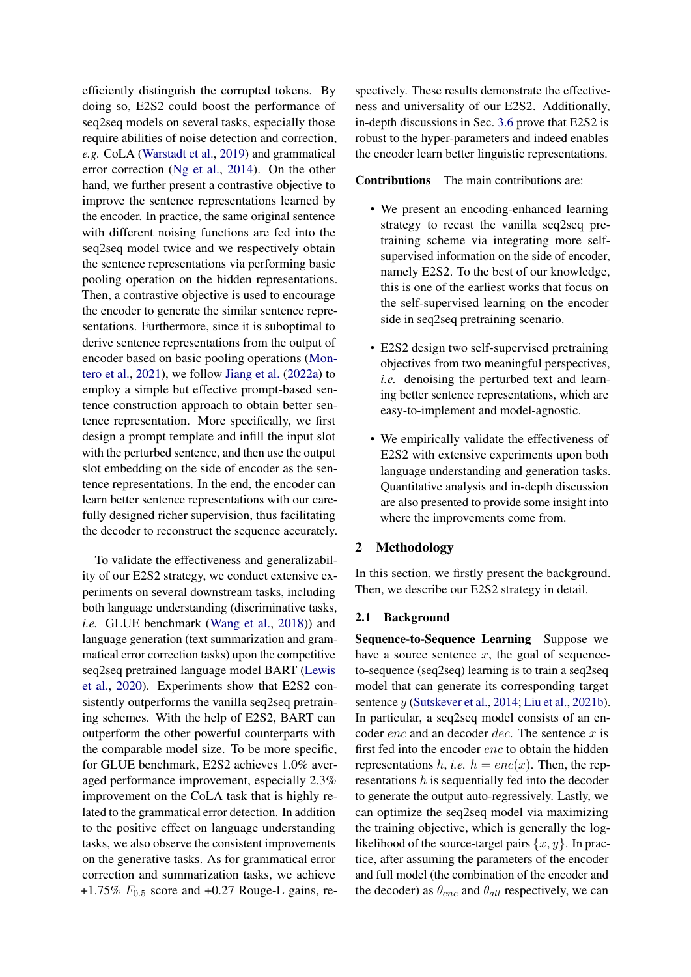efficiently distinguish the corrupted tokens. By doing so, E2S2 could boost the performance of seq2seq models on several tasks, especially those require abilities of noise detection and correction, *e.g.* CoLA [\(Warstadt et al.,](#page-11-5) [2019\)](#page-11-5) and grammatical error correction [\(Ng et al.,](#page-11-6) [2014\)](#page-11-6). On the other hand, we further present a contrastive objective to improve the sentence representations learned by the encoder. In practice, the same original sentence with different noising functions are fed into the seq2seq model twice and we respectively obtain the sentence representations via performing basic pooling operation on the hidden representations. Then, a contrastive objective is used to encourage the encoder to generate the similar sentence representations. Furthermore, since it is suboptimal to derive sentence representations from the output of encoder based on basic pooling operations [\(Mon](#page-11-7)[tero et al.,](#page-11-7) [2021\)](#page-11-7), we follow [Jiang et al.](#page-10-6) [\(2022a\)](#page-10-6) to employ a simple but effective prompt-based sentence construction approach to obtain better sentence representation. More specifically, we first design a prompt template and infill the input slot with the perturbed sentence, and then use the output slot embedding on the side of encoder as the sentence representations. In the end, the encoder can learn better sentence representations with our carefully designed richer supervision, thus facilitating the decoder to reconstruct the sequence accurately.

To validate the effectiveness and generalizability of our E2S2 strategy, we conduct extensive experiments on several downstream tasks, including both language understanding (discriminative tasks, *i.e.* GLUE benchmark [\(Wang et al.,](#page-11-8) [2018\)](#page-11-8)) and language generation (text summarization and grammatical error correction tasks) upon the competitive seq2seq pretrained language model BART [\(Lewis](#page-10-1) [et al.,](#page-10-1) [2020\)](#page-10-1). Experiments show that E2S2 consistently outperforms the vanilla seq2seq pretraining schemes. With the help of E2S2, BART can outperform the other powerful counterparts with the comparable model size. To be more specific, for GLUE benchmark, E2S2 achieves 1.0% averaged performance improvement, especially 2.3% improvement on the CoLA task that is highly related to the grammatical error detection. In addition to the positive effect on language understanding tasks, we also observe the consistent improvements on the generative tasks. As for grammatical error correction and summarization tasks, we achieve +1.75%  $F_{0.5}$  score and +0.27 Rouge-L gains, respectively. These results demonstrate the effectiveness and universality of our E2S2. Additionally, in-depth discussions in Sec. [3.6](#page-8-0) prove that E2S2 is robust to the hyper-parameters and indeed enables the encoder learn better linguistic representations.

#### Contributions The main contributions are:

- We present an encoding-enhanced learning strategy to recast the vanilla seq2seq pretraining scheme via integrating more selfsupervised information on the side of encoder, namely E2S2. To the best of our knowledge, this is one of the earliest works that focus on the self-supervised learning on the encoder side in seq2seq pretraining scenario.
- E2S2 design two self-supervised pretraining objectives from two meaningful perspectives, *i.e.* denoising the perturbed text and learning better sentence representations, which are easy-to-implement and model-agnostic.
- We empirically validate the effectiveness of E2S2 with extensive experiments upon both language understanding and generation tasks. Quantitative analysis and in-depth discussion are also presented to provide some insight into where the improvements come from.

## 2 Methodology

In this section, we firstly present the background. Then, we describe our E2S2 strategy in detail.

#### 2.1 Background

Sequence-to-Sequence Learning Suppose we have a source sentence  $x$ , the goal of sequenceto-sequence (seq2seq) learning is to train a seq2seq model that can generate its corresponding target sentence y [\(Sutskever et al.,](#page-11-9) [2014;](#page-11-9) [Liu et al.,](#page-10-7) [2021b\)](#page-10-7). In particular, a seq2seq model consists of an encoder  $enc$  and an decoder  $dec$ . The sentence  $x$  is first fed into the encoder enc to obtain the hidden representations h, *i.e.*  $h = enc(x)$ . Then, the representations h is sequentially fed into the decoder to generate the output auto-regressively. Lastly, we can optimize the seq2seq model via maximizing the training objective, which is generally the loglikelihood of the source-target pairs  $\{x, y\}$ . In practice, after assuming the parameters of the encoder and full model (the combination of the encoder and the decoder) as  $\theta_{enc}$  and  $\theta_{all}$  respectively, we can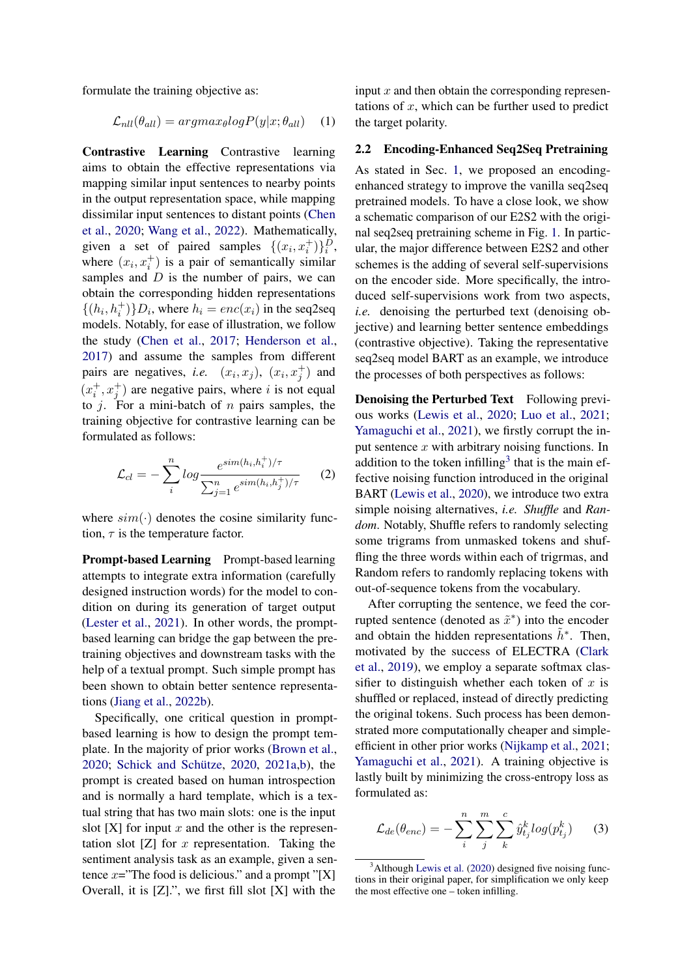formulate the training objective as:

$$
\mathcal{L}_{nll}(\theta_{all}) = argmax_{\theta} log P(y|x; \theta_{all}) \quad (1)
$$

Contrastive Learning Contrastive learning aims to obtain the effective representations via mapping similar input sentences to nearby points in the output representation space, while mapping dissimilar input sentences to distant points [\(Chen](#page-10-8) [et al.,](#page-10-8) [2020;](#page-10-8) [Wang et al.,](#page-11-10) [2022\)](#page-11-10). Mathematically, given a set of paired samples  $\{(x_i, x_i^+) \}_i^D$ , where  $(x_i, x_i^+)$  is a pair of semantically similar samples and  $D$  is the number of pairs, we can obtain the corresponding hidden representations  $\{(h_i, h_i^+)\}D_i$ , where  $h_i = enc(x_i)$  in the seq2seq models. Notably, for ease of illustration, we follow the study [\(Chen et al.,](#page-10-9) [2017;](#page-10-9) [Henderson et al.,](#page-10-10) [2017\)](#page-10-10) and assume the samples from different pairs are negatives, *i.e.*  $(x_i, x_j)$ ,  $(x_i, x_j^+)$  and  $(x_i^+, x_j^+)$  are negative pairs, where i is not equal to *j*. For a mini-batch of *n* pairs samples, the training objective for contrastive learning can be formulated as follows:

<span id="page-2-1"></span>
$$
\mathcal{L}_{cl} = -\sum_{i}^{n} \log \frac{e^{sim(h_i, h_i^+) / \tau}}{\sum_{j=1}^{n} e^{sim(h_i, h_j^+) / \tau}} \qquad (2)
$$

where  $sim(\cdot)$  denotes the cosine similarity function,  $\tau$  is the temperature factor.

Prompt-based Learning Prompt-based learning attempts to integrate extra information (carefully designed instruction words) for the model to condition on during its generation of target output [\(Lester et al.,](#page-10-11) [2021\)](#page-10-11). In other words, the promptbased learning can bridge the gap between the pretraining objectives and downstream tasks with the help of a textual prompt. Such simple prompt has been shown to obtain better sentence representations [\(Jiang et al.,](#page-10-12) [2022b\)](#page-10-12).

Specifically, one critical question in promptbased learning is how to design the prompt template. In the majority of prior works [\(Brown et al.,](#page-10-13)  $2020$ ; Schick and Schütze,  $2020$ ,  $2021a,b$  $2021a,b$ ), the prompt is created based on human introspection and is normally a hard template, which is a textual string that has two main slots: one is the input slot  $[X]$  for input x and the other is the representation slot  $[Z]$  for x representation. Taking the sentiment analysis task as an example, given a sentence  $x=$  "The food is delicious." and a prompt "[X] Overall, it is  $[Z]$ .", we first fill slot  $[X]$  with the

input  $x$  and then obtain the corresponding representations of  $x$ , which can be further used to predict the target polarity.

## <span id="page-2-2"></span>2.2 Encoding-Enhanced Seq2Seq Pretraining

As stated in Sec. [1,](#page-0-2) we proposed an encodingenhanced strategy to improve the vanilla seq2seq pretrained models. To have a close look, we show a schematic comparison of our E2S2 with the original seq2seq pretraining scheme in Fig. [1.](#page-3-0) In particular, the major difference between E2S2 and other schemes is the adding of several self-supervisions on the encoder side. More specifically, the introduced self-supervisions work from two aspects, *i.e.* denoising the perturbed text (denoising objective) and learning better sentence embeddings (contrastive objective). Taking the representative seq2seq model BART as an example, we introduce the processes of both perspectives as follows:

Denoising the Perturbed Text Following previous works [\(Lewis et al.,](#page-10-1) [2020;](#page-10-1) [Luo et al.,](#page-11-14) [2021;](#page-11-14) [Yamaguchi et al.,](#page-11-15) [2021\)](#page-11-15), we firstly corrupt the input sentence  $x$  with arbitrary noising functions. In addition to the token infilling<sup>[3](#page-2-0)</sup> that is the main effective noising function introduced in the original BART [\(Lewis et al.,](#page-10-1) [2020\)](#page-10-1), we introduce two extra simple noising alternatives, *i.e. Shuffle* and *Random*. Notably, Shuffle refers to randomly selecting some trigrams from unmasked tokens and shuffling the three words within each of trigrmas, and Random refers to randomly replacing tokens with out-of-sequence tokens from the vocabulary.

After corrupting the sentence, we feed the corrupted sentence (denoted as  $\tilde{x}^*$ ) into the encoder and obtain the hidden representations  $\tilde{h}^*$ . Then, motivated by the success of ELECTRA [\(Clark](#page-10-2) [et al.,](#page-10-2) [2019\)](#page-10-2), we employ a separate softmax classifier to distinguish whether each token of  $x$  is shuffled or replaced, instead of directly predicting the original tokens. Such process has been demonstrated more computationally cheaper and simpleefficient in other prior works [\(Nijkamp et al.,](#page-11-16) [2021;](#page-11-16) [Yamaguchi et al.,](#page-11-15) [2021\)](#page-11-15). A training objective is lastly built by minimizing the cross-entropy loss as formulated as:

$$
\mathcal{L}_{de}(\theta_{enc}) = -\sum_{i}^{n} \sum_{j}^{m} \sum_{k}^{c} \hat{y}_{t_j}^{k} log(p_{t_j}^{k})
$$
 (3)

<span id="page-2-0"></span> $3$ Although [Lewis et al.](#page-10-1) [\(2020\)](#page-10-1) designed five noising functions in their original paper, for simplification we only keep the most effective one – token infilling.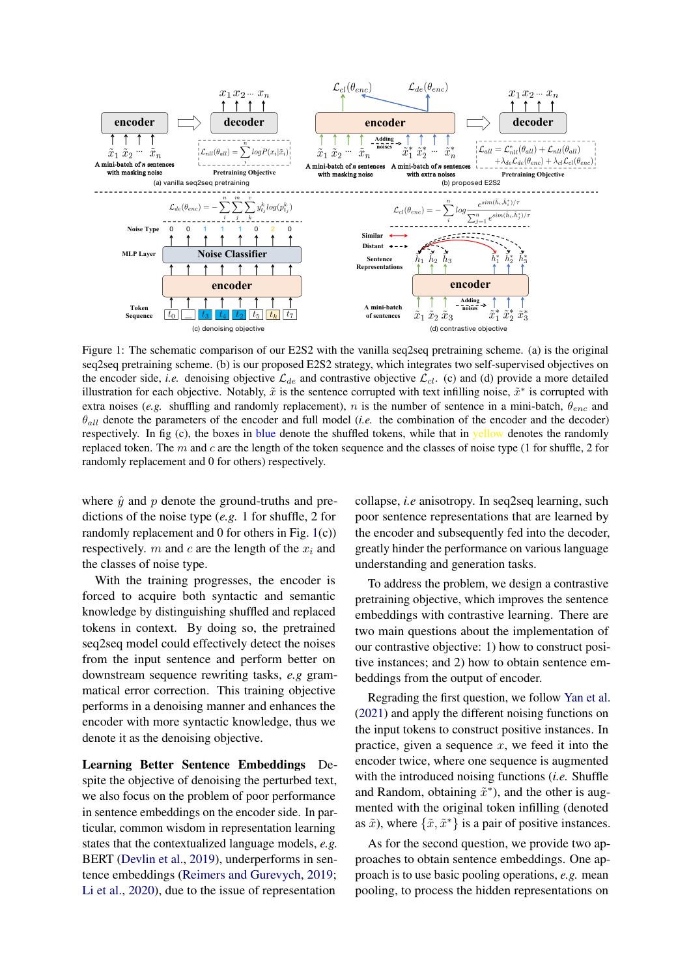<span id="page-3-0"></span>

Figure 1: The schematic comparison of our E2S2 with the vanilla seq2seq pretraining scheme. (a) is the original seq2seq pretraining scheme. (b) is our proposed E2S2 strategy, which integrates two self-supervised objectives on the encoder side, *i.e.* denoising objective  $\mathcal{L}_{de}$  and contrastive objective  $\mathcal{L}_{cl}$ . (c) and (d) provide a more detailed illustration for each objective. Notably,  $\tilde{x}$  is the sentence corrupted with text infilling noise,  $\tilde{x}^*$  is corrupted with extra noises (*e.g.* shuffling and randomly replacement), n is the number of sentence in a mini-batch,  $\theta_{enc}$  and  $\theta_{all}$  denote the parameters of the encoder and full model *(i.e.* the combination of the encoder and the decoder) respectively. In fig (c), the boxes in blue denote the shuffled tokens, while that in yellow denotes the randomly replaced token. The m and c are the length of the token sequence and the classes of noise type (1 for shuffle, 2 for randomly replacement and 0 for others) respectively.

where  $\hat{y}$  and p denote the ground-truths and predictions of the noise type (*e.g.* 1 for shuffle, 2 for randomly replacement and 0 for others in Fig. [1\(](#page-3-0)c)) respectively. m and c are the length of the  $x_i$  and the classes of noise type.

With the training progresses, the encoder is forced to acquire both syntactic and semantic knowledge by distinguishing shuffled and replaced tokens in context. By doing so, the pretrained seq2seq model could effectively detect the noises from the input sentence and perform better on downstream sequence rewriting tasks, *e.g* grammatical error correction. This training objective performs in a denoising manner and enhances the encoder with more syntactic knowledge, thus we denote it as the denoising objective.

Learning Better Sentence Embeddings Despite the objective of denoising the perturbed text, we also focus on the problem of poor performance in sentence embeddings on the encoder side. In particular, common wisdom in representation learning states that the contextualized language models, *e.g.* BERT [\(Devlin et al.,](#page-10-3) [2019\)](#page-10-3), underperforms in sentence embeddings [\(Reimers and Gurevych,](#page-11-17) [2019;](#page-11-17) [Li et al.,](#page-10-14) [2020\)](#page-10-14), due to the issue of representation

collapse, *i.e* anisotropy. In seq2seq learning, such poor sentence representations that are learned by the encoder and subsequently fed into the decoder, greatly hinder the performance on various language understanding and generation tasks.

To address the problem, we design a contrastive pretraining objective, which improves the sentence embeddings with contrastive learning. There are two main questions about the implementation of our contrastive objective: 1) how to construct positive instances; and 2) how to obtain sentence embeddings from the output of encoder.

Regrading the first question, we follow [Yan et al.](#page-11-18) [\(2021\)](#page-11-18) and apply the different noising functions on the input tokens to construct positive instances. In practice, given a sequence  $x$ , we feed it into the encoder twice, where one sequence is augmented with the introduced noising functions (*i.e.* Shuffle and Random, obtaining  $\tilde{x}^*$ ), and the other is augmented with the original token infilling (denoted as  $\tilde{x}$ ), where  $\{\tilde{x}, \tilde{x}^*\}$  is a pair of positive instances.

As for the second question, we provide two approaches to obtain sentence embeddings. One approach is to use basic pooling operations, *e.g.* mean pooling, to process the hidden representations on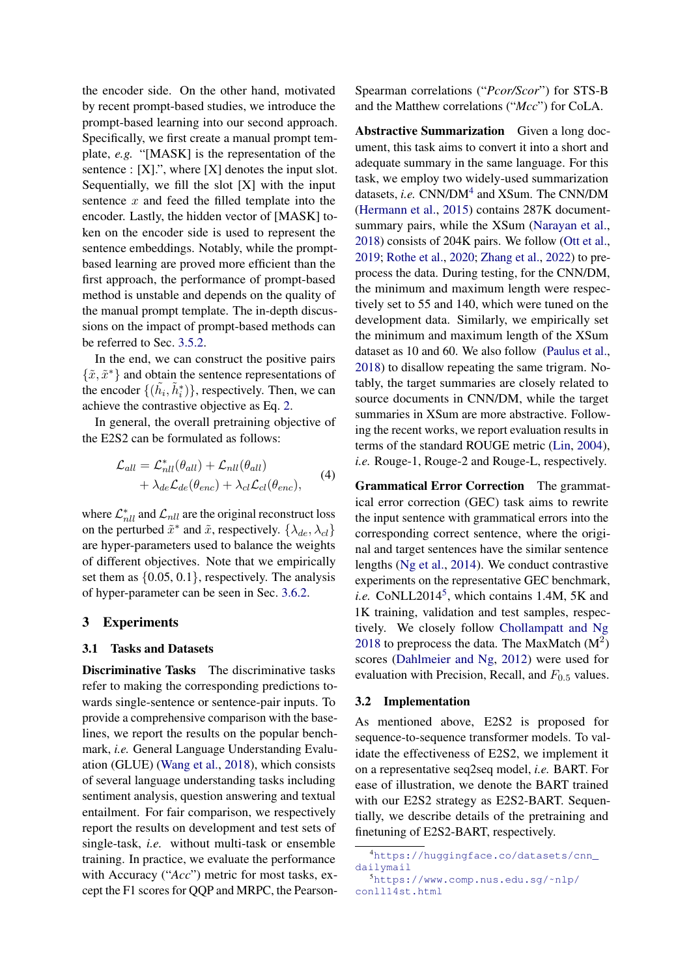the encoder side. On the other hand, motivated by recent prompt-based studies, we introduce the prompt-based learning into our second approach. Specifically, we first create a manual prompt template, *e.g.* "[MASK] is the representation of the sentence : [X].", where [X] denotes the input slot. Sequentially, we fill the slot [X] with the input sentence  $x$  and feed the filled template into the encoder. Lastly, the hidden vector of [MASK] token on the encoder side is used to represent the sentence embeddings. Notably, while the promptbased learning are proved more efficient than the first approach, the performance of prompt-based method is unstable and depends on the quality of the manual prompt template. The in-depth discussions on the impact of prompt-based methods can be referred to Sec. [3.5.2.](#page-7-0)

In the end, we can construct the positive pairs  $\{\tilde{x}, \tilde{x}^*\}$  and obtain the sentence representations of the encoder  $\{(\tilde{h}_i, \tilde{h}_i^*)\}$ , respectively. Then, we can achieve the contrastive objective as Eq. [2.](#page-2-1)

In general, the overall pretraining objective of the E2S2 can be formulated as follows:

$$
\mathcal{L}_{all} = \mathcal{L}_{nll}^{*}(\theta_{all}) + \mathcal{L}_{nll}(\theta_{all}) + \lambda_{de} \mathcal{L}_{de}(\theta_{enc}) + \lambda_{cl} \mathcal{L}_{cl}(\theta_{enc}),
$$
\n(4)

where  $\mathcal{L}_{\textit{nll}}^{*}$  and  $\mathcal{L}_{\textit{nll}}$  are the original reconstruct loss on the perturbed  $\tilde{x}^*$  and  $\tilde{x}$ , respectively.  $\{\lambda_{de}, \lambda_{cl}\}$ are hyper-parameters used to balance the weights of different objectives. Note that we empirically set them as {0.05, 0.1}, respectively. The analysis of hyper-parameter can be seen in Sec. [3.6.2.](#page-8-1)

### 3 Experiments

#### 3.1 Tasks and Datasets

Discriminative Tasks The discriminative tasks refer to making the corresponding predictions towards single-sentence or sentence-pair inputs. To provide a comprehensive comparison with the baselines, we report the results on the popular benchmark, *i.e.* General Language Understanding Evaluation (GLUE) [\(Wang et al.,](#page-11-8) [2018\)](#page-11-8), which consists of several language understanding tasks including sentiment analysis, question answering and textual entailment. For fair comparison, we respectively report the results on development and test sets of single-task, *i.e.* without multi-task or ensemble training. In practice, we evaluate the performance with Accuracy ("*Acc*") metric for most tasks, except the F1 scores for QQP and MRPC, the PearsonSpearman correlations ("*Pcor/Scor*") for STS-B and the Matthew correlations ("*Mcc*") for CoLA.

Abstractive Summarization Given a long document, this task aims to convert it into a short and adequate summary in the same language. For this task, we employ two widely-used summarization datasets, *i.e.* CNN/DM<sup>[4](#page-4-0)</sup> and XSum. The CNN/DM [\(Hermann et al.,](#page-10-15) [2015\)](#page-10-15) contains 287K documentsummary pairs, while the XSum [\(Narayan et al.,](#page-11-19) [2018\)](#page-11-19) consists of 204K pairs. We follow [\(Ott et al.,](#page-11-20) [2019;](#page-11-20) [Rothe et al.,](#page-11-21) [2020;](#page-11-21) [Zhang et al.,](#page-11-22) [2022\)](#page-11-22) to preprocess the data. During testing, for the CNN/DM, the minimum and maximum length were respectively set to 55 and 140, which were tuned on the development data. Similarly, we empirically set the minimum and maximum length of the XSum dataset as 10 and 60. We also follow [\(Paulus et al.,](#page-11-23) [2018\)](#page-11-23) to disallow repeating the same trigram. Notably, the target summaries are closely related to source documents in CNN/DM, while the target summaries in XSum are more abstractive. Following the recent works, we report evaluation results in terms of the standard ROUGE metric [\(Lin,](#page-10-16) [2004\)](#page-10-16), *i.e.* Rouge-1, Rouge-2 and Rouge-L, respectively.

<span id="page-4-2"></span>Grammatical Error Correction The grammatical error correction (GEC) task aims to rewrite the input sentence with grammatical errors into the corresponding correct sentence, where the original and target sentences have the similar sentence lengths [\(Ng et al.,](#page-11-6) [2014\)](#page-11-6). We conduct contrastive experiments on the representative GEC benchmark, i.e. CoNLL2014<sup>[5](#page-4-1)</sup>, which contains 1.4M, 5K and 1K training, validation and test samples, respectively. We closely follow [Chollampatt and Ng](#page-10-17) [2018](#page-10-17) to preprocess the data. The MaxMatch  $(M<sup>2</sup>)$ scores [\(Dahlmeier and Ng,](#page-10-18) [2012\)](#page-10-18) were used for evaluation with Precision, Recall, and  $F_{0.5}$  values.

#### 3.2 Implementation

As mentioned above, E2S2 is proposed for sequence-to-sequence transformer models. To validate the effectiveness of E2S2, we implement it on a representative seq2seq model, *i.e.* BART. For ease of illustration, we denote the BART trained with our E2S2 strategy as E2S2-BART. Sequentially, we describe details of the pretraining and finetuning of E2S2-BART, respectively.

<span id="page-4-0"></span><sup>4</sup>[https://huggingface.co/datasets/cnn\\_](https://huggingface.co/datasets/cnn_dailymail) [dailymail](https://huggingface.co/datasets/cnn_dailymail)

<span id="page-4-1"></span><sup>5</sup>[https://www.comp.nus.edu.sg/˜nlp/](https://www.comp.nus.edu.sg/~nlp/conll14st.html) [conll14st.html](https://www.comp.nus.edu.sg/~nlp/conll14st.html)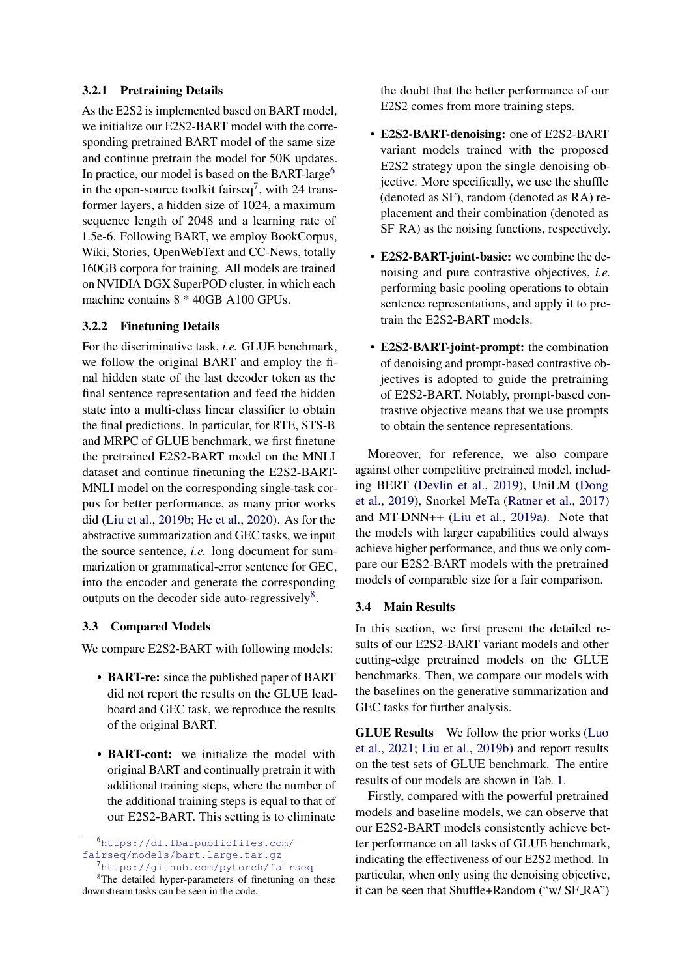## 3.2.1 Pretraining Details

As the E2S2 is implemented based on BART model, we initialize our E2S2-BART model with the corresponding pretrained BART model of the same size and continue pretrain the model for 50K updates. In practice, our model is based on the BART-large<sup>[6](#page-5-0)</sup> in the open-source toolkit fairseq<sup>[7](#page-5-1)</sup>, with 24 transformer layers, a hidden size of 1024, a maximum sequence length of 2048 and a learning rate of 1.5e-6. Following BART, we employ BookCorpus, Wiki, Stories, OpenWebText and CC-News, totally 160GB corpora for training. All models are trained on NVIDIA DGX SuperPOD cluster, in which each machine contains 8 \* 40GB A100 GPUs.

## 3.2.2 Finetuning Details

For the discriminative task, *i.e.* GLUE benchmark, we follow the original BART and employ the final hidden state of the last decoder token as the final sentence representation and feed the hidden state into a multi-class linear classifier to obtain the final predictions. In particular, for RTE, STS-B and MRPC of GLUE benchmark, we first finetune the pretrained E2S2-BART model on the MNLI dataset and continue finetuning the E2S2-BART-MNLI model on the corresponding single-task corpus for better performance, as many prior works did [\(Liu et al.,](#page-10-4) [2019b;](#page-10-4) [He et al.,](#page-10-5) [2020\)](#page-10-5). As for the abstractive summarization and GEC tasks, we input the source sentence, *i.e.* long document for summarization or grammatical-error sentence for GEC, into the encoder and generate the corresponding outputs on the decoder side auto-regressively<sup>[8](#page-5-2)</sup>.

## 3.3 Compared Models

We compare E2S2-BART with following models:

- **BART-re:** since the published paper of BART did not report the results on the GLUE leadboard and GEC task, we reproduce the results of the original BART.
- BART-cont: we initialize the model with original BART and continually pretrain it with additional training steps, where the number of the additional training steps is equal to that of our E2S2-BART. This setting is to eliminate

the doubt that the better performance of our E2S2 comes from more training steps.

- E2S2-BART-denoising: one of E2S2-BART variant models trained with the proposed E2S2 strategy upon the single denoising objective. More specifically, we use the shuffle (denoted as SF), random (denoted as RA) replacement and their combination (denoted as SF RA) as the noising functions, respectively.
- **E2S2-BART-joint-basic:** we combine the denoising and pure contrastive objectives, *i.e.* performing basic pooling operations to obtain sentence representations, and apply it to pretrain the E2S2-BART models.
- E2S2-BART-joint-prompt: the combination of denoising and prompt-based contrastive objectives is adopted to guide the pretraining of E2S2-BART. Notably, prompt-based contrastive objective means that we use prompts to obtain the sentence representations.

Moreover, for reference, we also compare against other competitive pretrained model, including BERT [\(Devlin et al.,](#page-10-3) [2019\)](#page-10-3), UniLM [\(Dong](#page-10-19) [et al.,](#page-10-19) [2019\)](#page-10-19), Snorkel MeTa [\(Ratner et al.,](#page-11-24) [2017\)](#page-11-24) and MT-DNN++ [\(Liu et al.,](#page-10-20) [2019a\)](#page-10-20). Note that the models with larger capabilities could always achieve higher performance, and thus we only compare our E2S2-BART models with the pretrained models of comparable size for a fair comparison.

#### 3.4 Main Results

In this section, we first present the detailed results of our E2S2-BART variant models and other cutting-edge pretrained models on the GLUE benchmarks. Then, we compare our models with the baselines on the generative summarization and GEC tasks for further analysis.

GLUE Results We follow the prior works [\(Luo](#page-11-14) [et al.,](#page-11-14) [2021;](#page-11-14) [Liu et al.,](#page-10-4) [2019b\)](#page-10-4) and report results on the test sets of GLUE benchmark. The entire results of our models are shown in Tab. [1.](#page-6-0)

Firstly, compared with the powerful pretrained models and baseline models, we can observe that our E2S2-BART models consistently achieve better performance on all tasks of GLUE benchmark, indicating the effectiveness of our E2S2 method. In particular, when only using the denoising objective, it can be seen that Shuffle+Random ("w/ SF RA")

<span id="page-5-0"></span><sup>6</sup>[https://dl.fbaipublicfiles.com/](https://dl.fbaipublicfiles.com/fairseq/models/bart.large.tar.gz) [fairseq/models/bart.large.tar.gz](https://dl.fbaipublicfiles.com/fairseq/models/bart.large.tar.gz) <sup>7</sup><https://github.com/pytorch/fairseq>

<span id="page-5-2"></span><span id="page-5-1"></span><sup>&</sup>lt;sup>8</sup>The detailed hyper-parameters of finetuning on these downstream tasks can be seen in the code.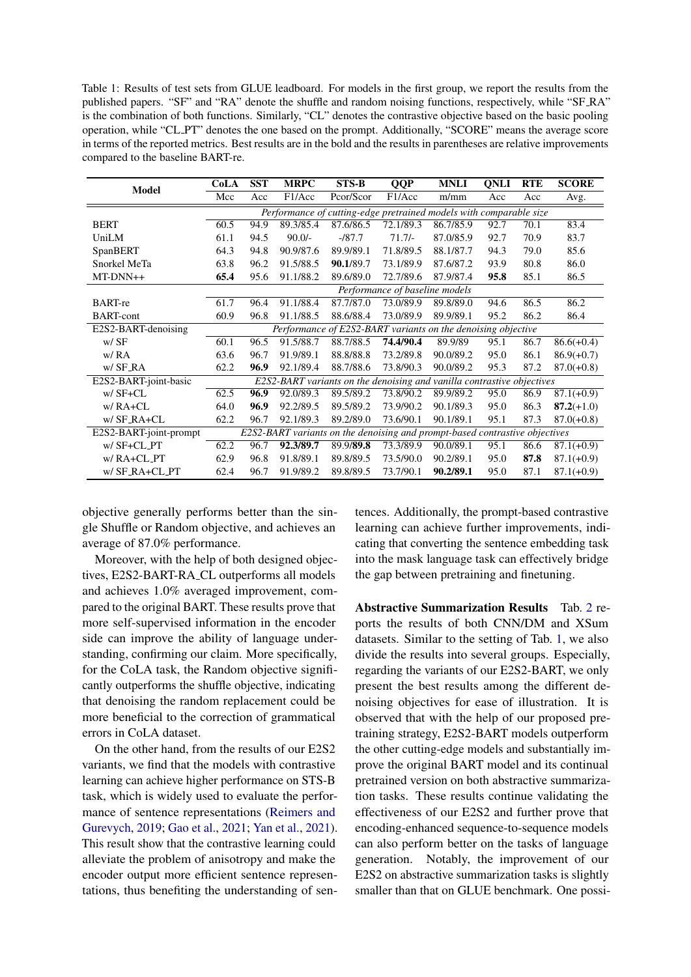<span id="page-6-0"></span>Table 1: Results of test sets from GLUE leadboard. For models in the first group, we report the results from the published papers. "SF" and "RA" denote the shuffle and random noising functions, respectively, while "SF\_RA" is the combination of both functions. Similarly, "CL" denotes the contrastive objective based on the basic pooling operation, while "CL PT" denotes the one based on the prompt. Additionally, "SCORE" means the average score in terms of the reported metrics. Best results are in the bold and the results in parentheses are relative improvements compared to the baseline BART-re.

| <b>Model</b>           | CoLA                                                                        | <b>SST</b> | <b>MRPC</b> | STS-B                                                        | <b>QQP</b>                     | <b>MNLI</b> | QNLI | <b>RTE</b> | <b>SCORE</b> |
|------------------------|-----------------------------------------------------------------------------|------------|-------------|--------------------------------------------------------------|--------------------------------|-------------|------|------------|--------------|
|                        | Mcc                                                                         | Acc        | F1/Acc      | Pcor/Scor                                                    | F1/Acc                         | m/mm        | Acc  | Acc        | Avg.         |
|                        | Performance of cutting-edge pretrained models with comparable size          |            |             |                                                              |                                |             |      |            |              |
| <b>BERT</b>            | 60.5                                                                        | 94.9       | 89.3/85.4   | 87.6/86.5                                                    | 72.1/89.3                      | 86.7/85.9   | 92.7 | 70.1       | 83.4         |
| UniLM                  | 61.1                                                                        | 94.5       | $90.0/-$    | $-187.7$                                                     | $71.7/-$                       | 87.0/85.9   | 92.7 | 70.9       | 83.7         |
| SpanBERT               | 64.3                                                                        | 94.8       | 90.9/87.6   | 89.9/89.1                                                    | 71.8/89.5                      | 88.1/87.7   | 94.3 | 79.0       | 85.6         |
| Snorkel MeTa           | 63.8                                                                        | 96.2       | 91.5/88.5   | 90.1/89.7                                                    | 73.1/89.9                      | 87.6/87.2   | 93.9 | 80.8       | 86.0         |
| MT-DNN++               | 65.4                                                                        | 95.6       | 91.1/88.2   | 89.6/89.0                                                    | 72.7/89.6                      | 87.9/87.4   | 95.8 | 85.1       | 86.5         |
|                        |                                                                             |            |             |                                                              | Performance of baseline models |             |      |            |              |
| <b>BART-re</b>         | 61.7                                                                        | 96.4       | 91.1/88.4   | 87.7/87.0                                                    | 73.0/89.9                      | 89.8/89.0   | 94.6 | 86.5       | 86.2         |
| <b>BART-cont</b>       | 60.9                                                                        | 96.8       | 91.1/88.5   | 88.6/88.4                                                    | 73.0/89.9                      | 89.9/89.1   | 95.2 | 86.2       | 86.4         |
| E2S2-BART-denoising    |                                                                             |            |             | Performance of E2S2-BART variants on the denoising objective |                                |             |      |            |              |
| $W/$ SF                | 60.1                                                                        | 96.5       | 91.5/88.7   | 88.7/88.5                                                    | 74.4/90.4                      | 89.9/89     | 95.1 | 86.7       | $86.6(+0.4)$ |
| W/RA                   | 63.6                                                                        | 96.7       | 91.9/89.1   | 88.8/88.8                                                    | 73.2/89.8                      | 90.0/89.2   | 95.0 | 86.1       | $86.9(+0.7)$ |
| w/ SF_RA               | 62.2                                                                        | 96.9       | 92.1/89.4   | 88.7/88.6                                                    | 73.8/90.3                      | 90.0/89.2   | 95.3 | 87.2       | $87.0(+0.8)$ |
| E2S2-BART-joint-basic  | E2S2-BART variants on the denoising and vanilla contrastive objectives      |            |             |                                                              |                                |             |      |            |              |
| $W/$ SF+CL             | 62.5                                                                        | 96.9       | 92.0/89.3   | 89.5/89.2                                                    | 73.8/90.2                      | 89.9/89.2   | 95.0 | 86.9       | $87.1(+0.9)$ |
| $w/RA+CL$              | 64.0                                                                        | 96.9       | 92.2/89.5   | 89.5/89.2                                                    | 73.9/90.2                      | 90.1/89.3   | 95.0 | 86.3       | $87.2(+1.0)$ |
| $W/$ SF_RA+CL          | 62.2                                                                        | 96.7       | 92.1/89.3   | 89.2/89.0                                                    | 73.6/90.1                      | 90.1/89.1   | 95.1 | 87.3       | $87.0(+0.8)$ |
| E2S2-BART-joint-prompt | E2S2-BART variants on the denoising and prompt-based contrastive objectives |            |             |                                                              |                                |             |      |            |              |
| $W/$ SF+CL_PT          | 62.2                                                                        | 96.7       | 92.3/89.7   | 89.9/89.8                                                    | 73.3/89.9                      | 90.0/89.1   | 95.1 | 86.6       | $87.1(+0.9)$ |
| w/RA+CL_PT             | 62.9                                                                        | 96.8       | 91.8/89.1   | 89.8/89.5                                                    | 73.5/90.0                      | 90.2/89.1   | 95.0 | 87.8       | $87.1(+0.9)$ |
| w/SF_RA+CL_PT          | 62.4                                                                        | 96.7       | 91.9/89.2   | 89.8/89.5                                                    | 73.7/90.1                      | 90.2/89.1   | 95.0 | 87.1       | $87.1(+0.9)$ |

objective generally performs better than the single Shuffle or Random objective, and achieves an average of 87.0% performance.

Moreover, with the help of both designed objectives, E2S2-BART-RA CL outperforms all models and achieves 1.0% averaged improvement, compared to the original BART. These results prove that more self-supervised information in the encoder side can improve the ability of language understanding, confirming our claim. More specifically, for the CoLA task, the Random objective significantly outperforms the shuffle objective, indicating that denoising the random replacement could be more beneficial to the correction of grammatical errors in CoLA dataset.

On the other hand, from the results of our E2S2 variants, we find that the models with contrastive learning can achieve higher performance on STS-B task, which is widely used to evaluate the performance of sentence representations [\(Reimers and](#page-11-17) [Gurevych,](#page-11-17) [2019;](#page-11-17) [Gao et al.,](#page-10-21) [2021;](#page-10-21) [Yan et al.,](#page-11-18) [2021\)](#page-11-18). This result show that the contrastive learning could alleviate the problem of anisotropy and make the encoder output more efficient sentence representations, thus benefiting the understanding of sentences. Additionally, the prompt-based contrastive learning can achieve further improvements, indicating that converting the sentence embedding task into the mask language task can effectively bridge the gap between pretraining and finetuning.

Abstractive Summarization Results Tab. [2](#page-7-1) reports the results of both CNN/DM and XSum datasets. Similar to the setting of Tab. [1,](#page-6-0) we also divide the results into several groups. Especially, regarding the variants of our E2S2-BART, we only present the best results among the different denoising objectives for ease of illustration. It is observed that with the help of our proposed pretraining strategy, E2S2-BART models outperform the other cutting-edge models and substantially improve the original BART model and its continual pretrained version on both abstractive summarization tasks. These results continue validating the effectiveness of our E2S2 and further prove that encoding-enhanced sequence-to-sequence models can also perform better on the tasks of language generation. Notably, the improvement of our E2S2 on abstractive summarization tasks is slightly smaller than that on GLUE benchmark. One possi-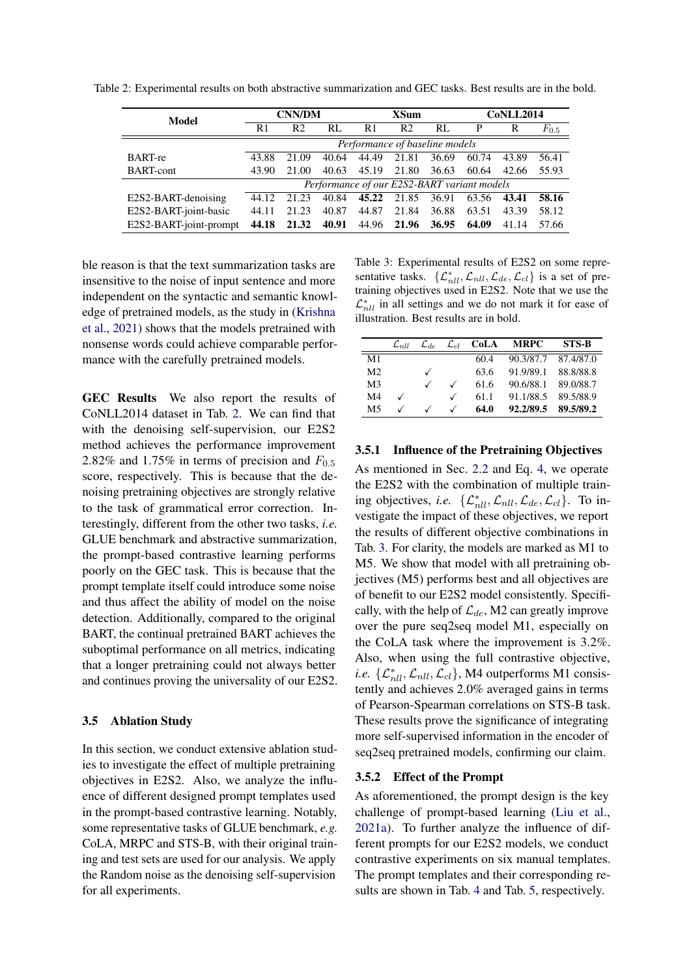| Model                  | <b>CNN/DM</b>                               |                |       | XSum           |                |       | CoNLL2014 |       |           |
|------------------------|---------------------------------------------|----------------|-------|----------------|----------------|-------|-----------|-------|-----------|
|                        | R1                                          | R <sub>2</sub> | RL    | R <sub>1</sub> | R <sub>2</sub> | RL    | P         | R     | $F_{0.5}$ |
|                        | Performance of baseline models              |                |       |                |                |       |           |       |           |
| <b>BART-re</b>         | 43.88                                       | 21.09          | 40.64 | 44.49          | 21.81          | 36.69 | 60.74     | 43.89 | 56.41     |
| <b>BART-cont</b>       | 43.90                                       | 21.00          | 40.63 | 45.19          | 21.80          | 36.63 | 60.64     | 42.66 | 55.93     |
|                        | Performance of our E2S2-BART variant models |                |       |                |                |       |           |       |           |
| E2S2-BART-denoising    | 44.12                                       | 21.23          | 40.84 | 45.22          | 21.85          | 36.91 | 63.56     | 43.41 | 58.16     |
| E2S2-BART-joint-basic  | 44.11                                       | 21.23          | 40.87 | 44.87          | 21.84          | 36.88 | 63.51     | 43.39 | 58.12     |
| E2S2-BART-joint-prompt | 44.18                                       | 21.32          | 40.91 |                | 44.96 21.96    | 36.95 | 64.09     | 41.14 | 57.66     |

<span id="page-7-1"></span>Table 2: Experimental results on both abstractive summarization and GEC tasks. Best results are in the bold.

ble reason is that the text summarization tasks are insensitive to the noise of input sentence and more independent on the syntactic and semantic knowledge of pretrained models, as the study in [\(Krishna](#page-10-22) [et al.,](#page-10-22) [2021\)](#page-10-22) shows that the models pretrained with nonsense words could achieve comparable performance with the carefully pretrained models.

GEC Results We also report the results of CoNLL2014 dataset in Tab. [2.](#page-7-1) We can find that with the denoising self-supervision, our E2S2 method achieves the performance improvement 2.82% and 1.75% in terms of precision and  $F_{0.5}$ score, respectively. This is because that the denoising pretraining objectives are strongly relative to the task of grammatical error correction. Interestingly, different from the other two tasks, *i.e.* GLUE benchmark and abstractive summarization, the prompt-based contrastive learning performs poorly on the GEC task. This is because that the prompt template itself could introduce some noise and thus affect the ability of model on the noise detection. Additionally, compared to the original BART, the continual pretrained BART achieves the suboptimal performance on all metrics, indicating that a longer pretraining could not always better and continues proving the universality of our E2S2.

#### 3.5 Ablation Study

In this section, we conduct extensive ablation studies to investigate the effect of multiple pretraining objectives in E2S2. Also, we analyze the influence of different designed prompt templates used in the prompt-based contrastive learning. Notably, some representative tasks of GLUE benchmark, *e.g.* CoLA, MRPC and STS-B, with their original training and test sets are used for our analysis. We apply the Random noise as the denoising self-supervision for all experiments.

<span id="page-7-2"></span>Table 3: Experimental results of E2S2 on some representative tasks.  $\{\mathcal{L}_{nll}^*, \mathcal{L}_{nll}, \mathcal{L}_{de}, \mathcal{L}_{cl}\}$  is a set of pretraining objectives used in E2S2. Note that we use the  $\mathcal{L}_{\textit{nll}}^{*}$  in all settings and we do not mark it for ease of illustration. Best results are in bold.

|                | $\mathcal{L}_{nll}$ | $\mathcal{L}_{de}$ | $\mathcal{L}_{cl}$ | CoLA | <b>MRPC</b> | <b>STS-B</b> |
|----------------|---------------------|--------------------|--------------------|------|-------------|--------------|
| M <sub>1</sub> |                     |                    |                    | 60.4 | 90.3/87.7   | 87.4/87.0    |
| M <sub>2</sub> |                     | $\checkmark$       |                    | 63.6 | 91.9/89.1   | 88.8/88.8    |
| M <sub>3</sub> |                     |                    |                    | 61.6 | 90.6/88.1   | 89.0/88.7    |
| M <sub>4</sub> |                     |                    |                    | 61.1 | 91.1/88.5   | 89.5/88.9    |
| M5             |                     |                    |                    | 64.0 | 92.2/89.5   | 89.5/89.2    |

## 3.5.1 Influence of the Pretraining Objectives

As mentioned in Sec. [2.2](#page-2-2) and Eq. [4,](#page-4-2) we operate the E2S2 with the combination of multiple training objectives, *i.e.*  $\{\mathcal{L}_{\textit{nll}}^*, \mathcal{L}_{\textit{nll}}, \mathcal{L}_{\textit{de}}, \mathcal{L}_{\textit{cl}}\}$ . To investigate the impact of these objectives, we report the results of different objective combinations in Tab. [3.](#page-7-2) For clarity, the models are marked as M1 to M5. We show that model with all pretraining objectives (M5) performs best and all objectives are of benefit to our E2S2 model consistently. Specifically, with the help of  $\mathcal{L}_{de}$ , M2 can greatly improve over the pure seq2seq model M1, especially on the CoLA task where the improvement is 3.2%. Also, when using the full contrastive objective, *i.e.*  $\{\mathcal{L}_{nll}^*, \mathcal{L}_{nll}, \mathcal{L}_{cl}\}$ , M4 outperforms M1 consistently and achieves 2.0% averaged gains in terms of Pearson-Spearman correlations on STS-B task. These results prove the significance of integrating more self-supervised information in the encoder of seq2seq pretrained models, confirming our claim.

#### <span id="page-7-0"></span>3.5.2 Effect of the Prompt

As aforementioned, the prompt design is the key challenge of prompt-based learning [\(Liu et al.,](#page-10-23) [2021a\)](#page-10-23). To further analyze the influence of different prompts for our E2S2 models, we conduct contrastive experiments on six manual templates. The prompt templates and their corresponding results are shown in Tab. [4](#page-8-2) and Tab. [5,](#page-8-3) respectively.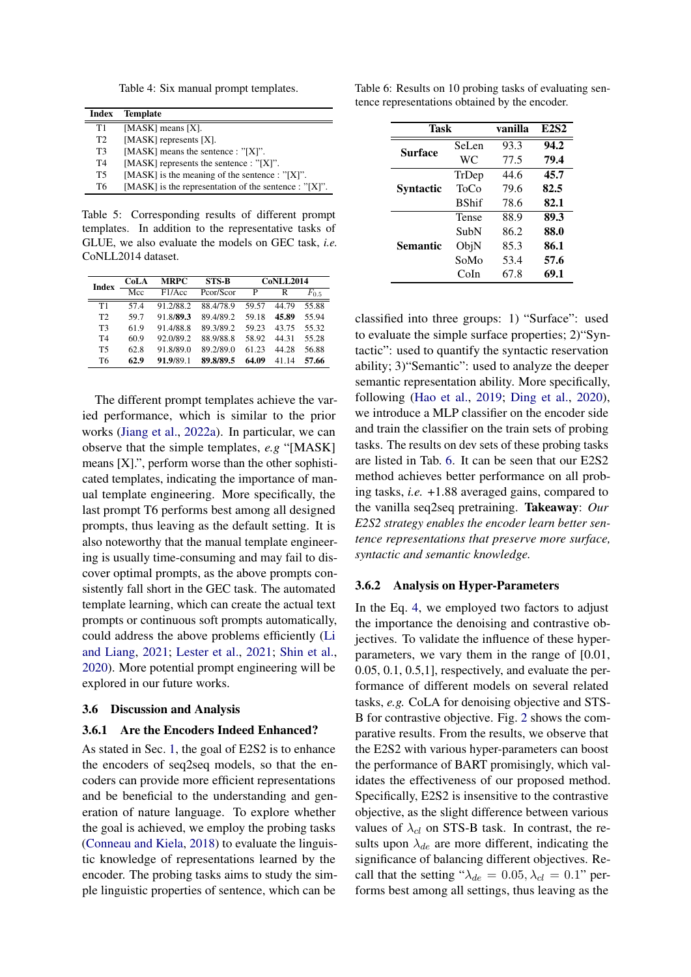Table 4: Six manual prompt templates.

<span id="page-8-2"></span>

| Index          | <b>Template</b>                                       |
|----------------|-------------------------------------------------------|
| T1             | [ $MASK$ ] means [X].                                 |
| T <sub>2</sub> | [MASK] represents [X].                                |
| T <sub>3</sub> | [MASK] means the sentence : "[X]".                    |
| T <sub>4</sub> | [MASK] represents the sentence : $"[X]$ ".            |
| T <sub>5</sub> | [MASK] is the meaning of the sentence : "[X]".        |
| Т6             | [MASK] is the representation of the sentence : "[X]". |

<span id="page-8-3"></span>Table 5: Corresponding results of different prompt templates. In addition to the representative tasks of GLUE, we also evaluate the models on GEC task, *i.e.* CoNLL2014 dataset.

| <b>Index</b>   | CoLA | <b>STS-B</b><br><b>MRPC</b> |           | <b>CoNLL2014</b> |       |           |  |
|----------------|------|-----------------------------|-----------|------------------|-------|-----------|--|
|                | Mcc  | F1/Acc                      | Pcor/Scor | P                | R     | $F_{0.5}$ |  |
| T1             | 574  | 91.2/88.2                   | 88.4/78.9 | 59.57            | 44 79 | 55.88     |  |
| T2             | 59.7 | 91.8/89.3                   | 89.4/89.2 | 59.18            | 45.89 | 55.94     |  |
| T <sub>3</sub> | 61.9 | 91.4/88.8                   | 89.3/89.2 | 59.23            | 43.75 | 55.32     |  |
| T <sub>4</sub> | 60.9 | 92.0/89.2                   | 88.9/88.8 | 58.92            | 44 31 | 55.28     |  |
| <b>T5</b>      | 62.8 | 91.8/89.0                   | 89.2/89.0 | 61 23            | 44.28 | 56.88     |  |
| T <sub>6</sub> | 62.9 | 91.9/89.1                   | 89.8/89.5 | 64.09            | 41 14 | 57.66     |  |

The different prompt templates achieve the varied performance, which is similar to the prior works [\(Jiang et al.,](#page-10-6) [2022a\)](#page-10-6). In particular, we can observe that the simple templates, *e.g* "[MASK] means [X].", perform worse than the other sophisticated templates, indicating the importance of manual template engineering. More specifically, the last prompt T6 performs best among all designed prompts, thus leaving as the default setting. It is also noteworthy that the manual template engineering is usually time-consuming and may fail to discover optimal prompts, as the above prompts consistently fall short in the GEC task. The automated template learning, which can create the actual text prompts or continuous soft prompts automatically, could address the above problems efficiently [\(Li](#page-10-24) [and Liang,](#page-10-24) [2021;](#page-10-24) [Lester et al.,](#page-10-11) [2021;](#page-10-11) [Shin et al.,](#page-11-25) [2020\)](#page-11-25). More potential prompt engineering will be explored in our future works.

## <span id="page-8-0"></span>3.6 Discussion and Analysis

#### 3.6.1 Are the Encoders Indeed Enhanced?

As stated in Sec. [1,](#page-0-2) the goal of E2S2 is to enhance the encoders of seq2seq models, so that the encoders can provide more efficient representations and be beneficial to the understanding and generation of nature language. To explore whether the goal is achieved, we employ the probing tasks [\(Conneau and Kiela,](#page-10-25) [2018\)](#page-10-25) to evaluate the linguistic knowledge of representations learned by the encoder. The probing tasks aims to study the simple linguistic properties of sentence, which can be

<span id="page-8-4"></span>Table 6: Results on 10 probing tasks of evaluating sentence representations obtained by the encoder.

| <b>Task</b>     |               | vanilla | <b>E2S2</b> |
|-----------------|---------------|---------|-------------|
| Surface         | SeLen         | 93.3    | 94.2        |
|                 | WC            | 77.5    | 79.4        |
|                 | TrDep         | 44 6    | 45.7        |
| Svntactic       | ToCo          | 79.6    | 82.5        |
|                 | <b>B</b> Shif | 78.6    | 82.1        |
|                 | Tense         | 88.9    | 89.3        |
|                 | SubN          | 86.2    | 88.0        |
| <b>Semantic</b> | ObjN          | 85.3    | 86.1        |
|                 | SoMo          | 53.4    | 57.6        |
|                 | CoIn          | 67.8    | 69.1        |

classified into three groups: 1) "Surface": used to evaluate the simple surface properties; 2)"Syntactic": used to quantify the syntactic reservation ability; 3)"Semantic": used to analyze the deeper semantic representation ability. More specifically, following [\(Hao et al.,](#page-10-26) [2019;](#page-10-26) [Ding et al.,](#page-10-27) [2020\)](#page-10-27), we introduce a MLP classifier on the encoder side and train the classifier on the train sets of probing tasks. The results on dev sets of these probing tasks are listed in Tab. [6.](#page-8-4) It can be seen that our E2S2 method achieves better performance on all probing tasks, *i.e.* +1.88 averaged gains, compared to the vanilla seq2seq pretraining. Takeaway: *Our E2S2 strategy enables the encoder learn better sentence representations that preserve more surface, syntactic and semantic knowledge.*

#### <span id="page-8-1"></span>3.6.2 Analysis on Hyper-Parameters

In the Eq. [4,](#page-4-2) we employed two factors to adjust the importance the denoising and contrastive objectives. To validate the influence of these hyperparameters, we vary them in the range of [0.01, 0.05, 0.1, 0.5,1], respectively, and evaluate the performance of different models on several related tasks, *e.g.* CoLA for denoising objective and STS-B for contrastive objective. Fig. [2](#page-9-0) shows the comparative results. From the results, we observe that the E2S2 with various hyper-parameters can boost the performance of BART promisingly, which validates the effectiveness of our proposed method. Specifically, E2S2 is insensitive to the contrastive objective, as the slight difference between various values of  $\lambda_{cl}$  on STS-B task. In contrast, the results upon  $\lambda_{de}$  are more different, indicating the significance of balancing different objectives. Recall that the setting " $\lambda_{de} = 0.05, \lambda_{el} = 0.1$ " performs best among all settings, thus leaving as the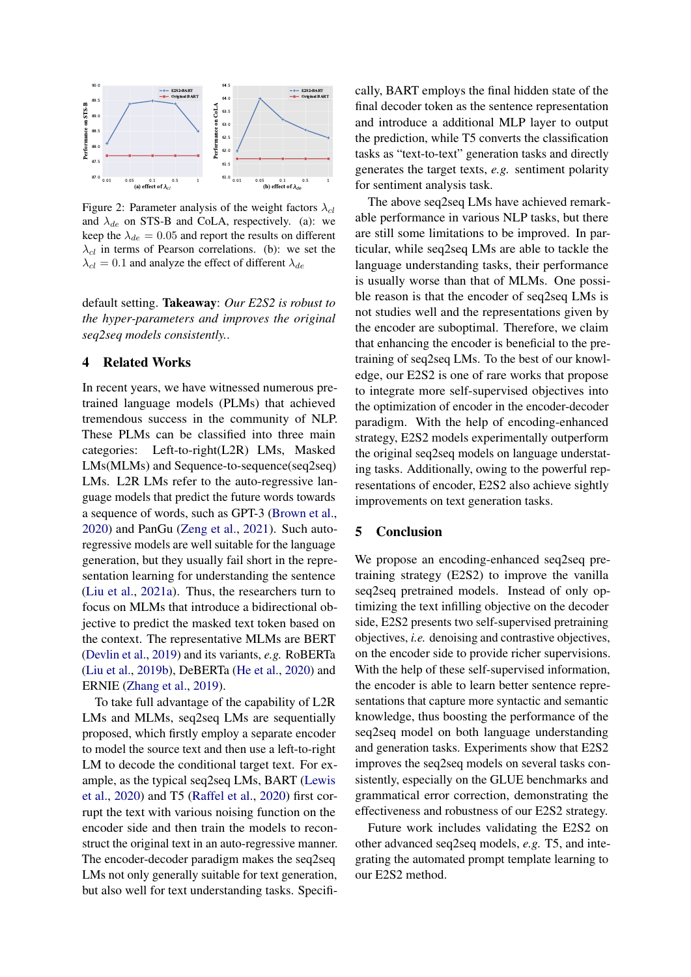<span id="page-9-0"></span>

Figure 2: Parameter analysis of the weight factors  $\lambda_{cl}$ and  $\lambda_{de}$  on STS-B and CoLA, respectively. (a): we keep the  $\lambda_{de} = 0.05$  and report the results on different  $\lambda_{cl}$  in terms of Pearson correlations. (b): we set the  $\lambda_{cl} = 0.1$  and analyze the effect of different  $\lambda_{de}$ 

default setting. Takeaway: *Our E2S2 is robust to the hyper-parameters and improves the original seq2seq models consistently.*.

## 4 Related Works

In recent years, we have witnessed numerous pretrained language models (PLMs) that achieved tremendous success in the community of NLP. These PLMs can be classified into three main categories: Left-to-right(L2R) LMs, Masked LMs(MLMs) and Sequence-to-sequence(seq2seq) LMs. L2R LMs refer to the auto-regressive language models that predict the future words towards a sequence of words, such as GPT-3 [\(Brown et al.,](#page-10-13) [2020\)](#page-10-13) and PanGu [\(Zeng et al.,](#page-11-26) [2021\)](#page-11-26). Such autoregressive models are well suitable for the language generation, but they usually fail short in the representation learning for understanding the sentence [\(Liu et al.,](#page-10-23) [2021a\)](#page-10-23). Thus, the researchers turn to focus on MLMs that introduce a bidirectional objective to predict the masked text token based on the context. The representative MLMs are BERT [\(Devlin et al.,](#page-10-3) [2019\)](#page-10-3) and its variants, *e.g.* RoBERTa [\(Liu et al.,](#page-10-4) [2019b\)](#page-10-4), DeBERTa [\(He et al.,](#page-10-5) [2020\)](#page-10-5) and ERNIE [\(Zhang et al.,](#page-11-27) [2019\)](#page-11-27).

To take full advantage of the capability of L2R LMs and MLMs, seq2seq LMs are sequentially proposed, which firstly employ a separate encoder to model the source text and then use a left-to-right LM to decode the conditional target text. For example, as the typical seq2seq LMs, BART [\(Lewis](#page-10-1) [et al.,](#page-10-1) [2020\)](#page-10-1) and T5 [\(Raffel et al.,](#page-11-4) [2020\)](#page-11-4) first corrupt the text with various noising function on the encoder side and then train the models to reconstruct the original text in an auto-regressive manner. The encoder-decoder paradigm makes the seq2seq LMs not only generally suitable for text generation, but also well for text understanding tasks. Specifically, BART employs the final hidden state of the final decoder token as the sentence representation and introduce a additional MLP layer to output the prediction, while T5 converts the classification tasks as "text-to-text" generation tasks and directly generates the target texts, *e.g.* sentiment polarity for sentiment analysis task.

The above seq2seq LMs have achieved remarkable performance in various NLP tasks, but there are still some limitations to be improved. In particular, while seq2seq LMs are able to tackle the language understanding tasks, their performance is usually worse than that of MLMs. One possible reason is that the encoder of seq2seq LMs is not studies well and the representations given by the encoder are suboptimal. Therefore, we claim that enhancing the encoder is beneficial to the pretraining of seq2seq LMs. To the best of our knowledge, our E2S2 is one of rare works that propose to integrate more self-supervised objectives into the optimization of encoder in the encoder-decoder paradigm. With the help of encoding-enhanced strategy, E2S2 models experimentally outperform the original seq2seq models on language understating tasks. Additionally, owing to the powerful representations of encoder, E2S2 also achieve sightly improvements on text generation tasks.

## 5 Conclusion

We propose an encoding-enhanced seq2seq pretraining strategy (E2S2) to improve the vanilla seq2seq pretrained models. Instead of only optimizing the text infilling objective on the decoder side, E2S2 presents two self-supervised pretraining objectives, *i.e.* denoising and contrastive objectives, on the encoder side to provide richer supervisions. With the help of these self-supervised information, the encoder is able to learn better sentence representations that capture more syntactic and semantic knowledge, thus boosting the performance of the seq2seq model on both language understanding and generation tasks. Experiments show that E2S2 improves the seq2seq models on several tasks consistently, especially on the GLUE benchmarks and grammatical error correction, demonstrating the effectiveness and robustness of our E2S2 strategy.

Future work includes validating the E2S2 on other advanced seq2seq models, *e.g.* T5, and integrating the automated prompt template learning to our E2S2 method.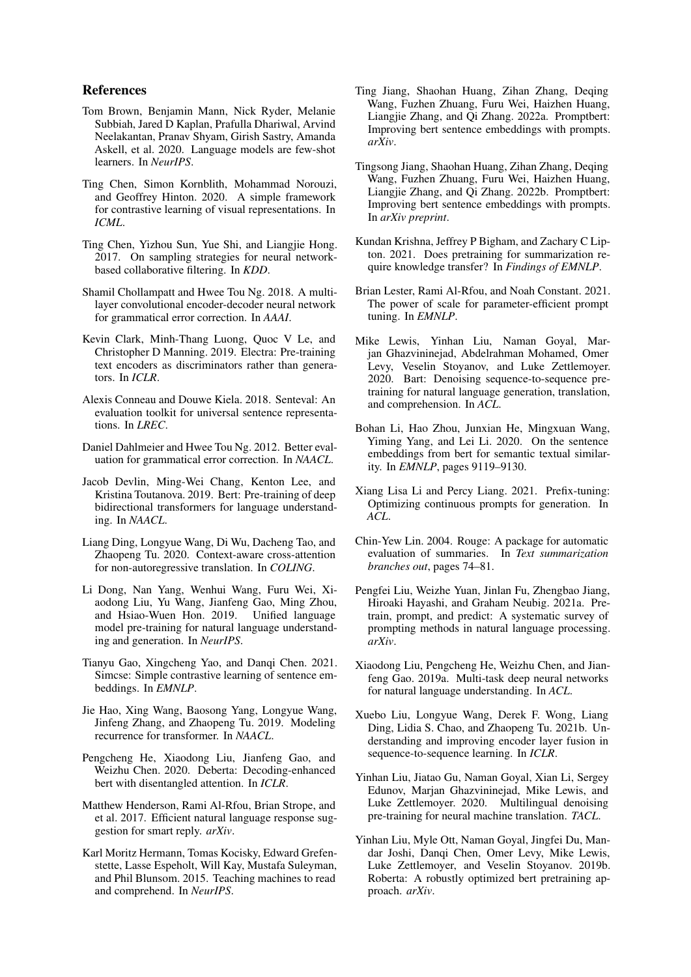## References

- <span id="page-10-13"></span>Tom Brown, Benjamin Mann, Nick Ryder, Melanie Subbiah, Jared D Kaplan, Prafulla Dhariwal, Arvind Neelakantan, Pranav Shyam, Girish Sastry, Amanda Askell, et al. 2020. Language models are few-shot learners. In *NeurIPS*.
- <span id="page-10-8"></span>Ting Chen, Simon Kornblith, Mohammad Norouzi, and Geoffrey Hinton. 2020. A simple framework for contrastive learning of visual representations. In *ICML*.
- <span id="page-10-9"></span>Ting Chen, Yizhou Sun, Yue Shi, and Liangjie Hong. 2017. On sampling strategies for neural networkbased collaborative filtering. In *KDD*.
- <span id="page-10-17"></span>Shamil Chollampatt and Hwee Tou Ng. 2018. A multilayer convolutional encoder-decoder neural network for grammatical error correction. In *AAAI*.
- <span id="page-10-2"></span>Kevin Clark, Minh-Thang Luong, Quoc V Le, and Christopher D Manning. 2019. Electra: Pre-training text encoders as discriminators rather than generators. In *ICLR*.
- <span id="page-10-25"></span>Alexis Conneau and Douwe Kiela. 2018. Senteval: An evaluation toolkit for universal sentence representations. In *LREC*.
- <span id="page-10-18"></span>Daniel Dahlmeier and Hwee Tou Ng. 2012. Better evaluation for grammatical error correction. In *NAACL*.
- <span id="page-10-3"></span>Jacob Devlin, Ming-Wei Chang, Kenton Lee, and Kristina Toutanova. 2019. Bert: Pre-training of deep bidirectional transformers for language understanding. In *NAACL*.
- <span id="page-10-27"></span>Liang Ding, Longyue Wang, Di Wu, Dacheng Tao, and Zhaopeng Tu. 2020. Context-aware cross-attention for non-autoregressive translation. In *COLING*.
- <span id="page-10-19"></span>Li Dong, Nan Yang, Wenhui Wang, Furu Wei, Xiaodong Liu, Yu Wang, Jianfeng Gao, Ming Zhou, and Hsiao-Wuen Hon. 2019. Unified language model pre-training for natural language understanding and generation. In *NeurIPS*.
- <span id="page-10-21"></span>Tianyu Gao, Xingcheng Yao, and Danqi Chen. 2021. Simcse: Simple contrastive learning of sentence embeddings. In *EMNLP*.
- <span id="page-10-26"></span>Jie Hao, Xing Wang, Baosong Yang, Longyue Wang, Jinfeng Zhang, and Zhaopeng Tu. 2019. Modeling recurrence for transformer. In *NAACL*.
- <span id="page-10-5"></span>Pengcheng He, Xiaodong Liu, Jianfeng Gao, and Weizhu Chen. 2020. Deberta: Decoding-enhanced bert with disentangled attention. In *ICLR*.
- <span id="page-10-10"></span>Matthew Henderson, Rami Al-Rfou, Brian Strope, and et al. 2017. Efficient natural language response suggestion for smart reply. *arXiv*.
- <span id="page-10-15"></span>Karl Moritz Hermann, Tomas Kocisky, Edward Grefenstette, Lasse Espeholt, Will Kay, Mustafa Suleyman, and Phil Blunsom. 2015. Teaching machines to read and comprehend. In *NeurIPS*.
- <span id="page-10-6"></span>Ting Jiang, Shaohan Huang, Zihan Zhang, Deqing Wang, Fuzhen Zhuang, Furu Wei, Haizhen Huang, Liangjie Zhang, and Qi Zhang. 2022a. Promptbert: Improving bert sentence embeddings with prompts. *arXiv*.
- <span id="page-10-12"></span>Tingsong Jiang, Shaohan Huang, Zihan Zhang, Deqing Wang, Fuzhen Zhuang, Furu Wei, Haizhen Huang, Liangjie Zhang, and Qi Zhang. 2022b. Promptbert: Improving bert sentence embeddings with prompts. In *arXiv preprint*.
- <span id="page-10-22"></span>Kundan Krishna, Jeffrey P Bigham, and Zachary C Lipton. 2021. Does pretraining for summarization require knowledge transfer? In *Findings of EMNLP*.
- <span id="page-10-11"></span>Brian Lester, Rami Al-Rfou, and Noah Constant. 2021. The power of scale for parameter-efficient prompt tuning. In *EMNLP*.
- <span id="page-10-1"></span>Mike Lewis, Yinhan Liu, Naman Goyal, Marjan Ghazvininejad, Abdelrahman Mohamed, Omer Levy, Veselin Stoyanov, and Luke Zettlemoyer. 2020. Bart: Denoising sequence-to-sequence pretraining for natural language generation, translation, and comprehension. In *ACL*.
- <span id="page-10-14"></span>Bohan Li, Hao Zhou, Junxian He, Mingxuan Wang, Yiming Yang, and Lei Li. 2020. On the sentence embeddings from bert for semantic textual similarity. In *EMNLP*, pages 9119–9130.
- <span id="page-10-24"></span>Xiang Lisa Li and Percy Liang. 2021. Prefix-tuning: Optimizing continuous prompts for generation. In *ACL*.
- <span id="page-10-16"></span>Chin-Yew Lin. 2004. Rouge: A package for automatic evaluation of summaries. In *Text summarization branches out*, pages 74–81.
- <span id="page-10-23"></span>Pengfei Liu, Weizhe Yuan, Jinlan Fu, Zhengbao Jiang, Hiroaki Hayashi, and Graham Neubig. 2021a. Pretrain, prompt, and predict: A systematic survey of prompting methods in natural language processing. *arXiv*.
- <span id="page-10-20"></span>Xiaodong Liu, Pengcheng He, Weizhu Chen, and Jianfeng Gao. 2019a. Multi-task deep neural networks for natural language understanding. In *ACL*.
- <span id="page-10-7"></span>Xuebo Liu, Longyue Wang, Derek F. Wong, Liang Ding, Lidia S. Chao, and Zhaopeng Tu. 2021b. Understanding and improving encoder layer fusion in sequence-to-sequence learning. In *ICLR*.
- <span id="page-10-0"></span>Yinhan Liu, Jiatao Gu, Naman Goyal, Xian Li, Sergey Edunov, Marjan Ghazvininejad, Mike Lewis, and Luke Zettlemoyer. 2020. Multilingual denoising pre-training for neural machine translation. *TACL*.
- <span id="page-10-4"></span>Yinhan Liu, Myle Ott, Naman Goyal, Jingfei Du, Mandar Joshi, Danqi Chen, Omer Levy, Mike Lewis, Luke Zettlemoyer, and Veselin Stoyanov. 2019b. Roberta: A robustly optimized bert pretraining approach. *arXiv*.